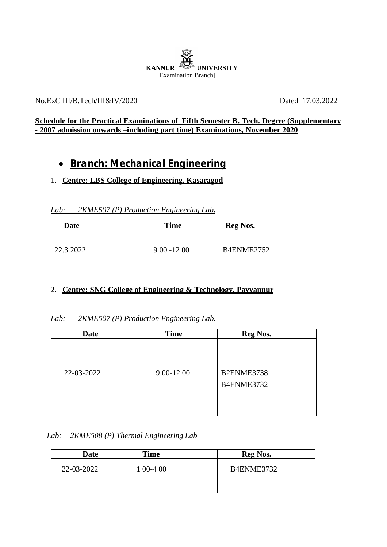

#### No.ExC III/B.Tech/III&IV/2020 Dated 17.03.2022

### **Schedule for the Practical Examinations of Fifth Semester B. Tech. Degree (Supplementary - 2007 admission onwards –including part time) Examinations, November 2020**

# **Branch: Mechanical Engineering**

### 1. **Centre: LBS College of Engineering. Kasaragod**

#### *Lab: 2KME507 (P) Production Engineering Lab***.**

| <b>Date</b> | <b>Time</b>  | <b>Reg Nos.</b> |
|-------------|--------------|-----------------|
| 22.3.2022   | $900 - 1200$ | B4ENME2752      |

#### 2. **Centre: SNG College of Engineering & Technology, Payyannur**

#### *Lab: 2KME507 (P) Production Engineering Lab.*

| <b>Date</b> | <b>Time</b> | <b>Reg Nos.</b>          |  |
|-------------|-------------|--------------------------|--|
| 22-03-2022  | 9 00-12 00  | B2ENME3738<br>B4ENME3732 |  |

#### *Lab: 2KME508 (P) Thermal Engineering Lab*

| Date       | <b>Time</b> | <b>Reg Nos.</b> |
|------------|-------------|-----------------|
| 22-03-2022 | 1 00-4 00   | B4ENME3732      |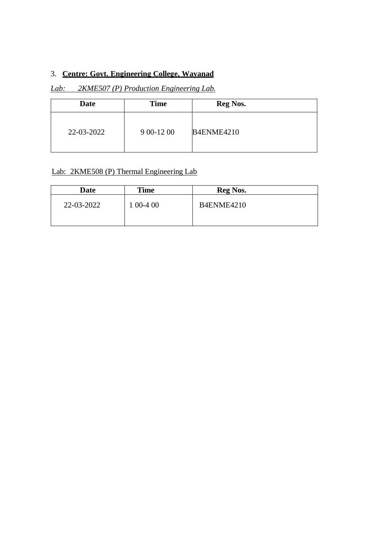# 3. **Centre: Govt. Engineering College, Wayanad**

## *Lab: 2KME507 (P) Production Engineering Lab.*

| Date       | <b>Time</b> | <b>Reg Nos.</b>   |
|------------|-------------|-------------------|
| 22-03-2022 | 9 00-12 00  | <b>B4ENME4210</b> |

## Lab: 2KME508 (P) Thermal Engineering Lab

| Date       | <b>Time</b> | <b>Reg Nos.</b> |
|------------|-------------|-----------------|
| 22-03-2022 | $00-400$    | B4ENME4210      |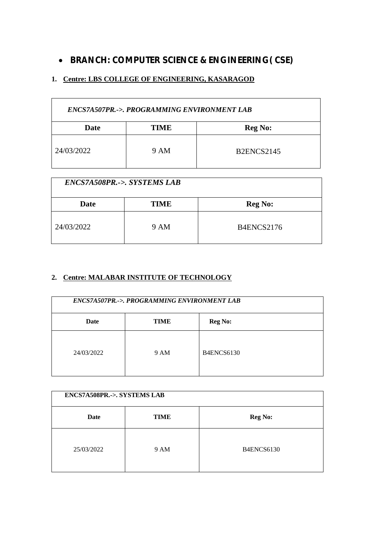# **BRANCH: COMPUTER SCIENCE & ENGINEERING( CSE)**

## **1. Centre: LBS COLLEGE OF ENGINEERING, KASARAGOD**

| ENCS7A507PR.->. PROGRAMMING ENVIRONMENT LAB |      |                   |
|---------------------------------------------|------|-------------------|
| Date                                        | TIME | <b>Reg No:</b>    |
| 24/03/2022                                  | 9 AM | <b>B2ENCS2145</b> |

| <b>ENCS7A508PR.-&gt;. SYSTEMS LAB</b> |             |                   |
|---------------------------------------|-------------|-------------------|
| <b>Date</b>                           | <b>TIME</b> | <b>Reg No:</b>    |
| 24/03/2022                            | 9 AM        | <b>B4ENCS2176</b> |

#### **2. Centre: MALABAR INSTITUTE OF TECHNOLOGY**

| ENCS7A507PR.->. PROGRAMMING ENVIRONMENT LAB |             |                   |
|---------------------------------------------|-------------|-------------------|
| Date                                        | <b>TIME</b> | <b>Reg No:</b>    |
| 24/03/2022                                  | 9 AM        | <b>B4ENCS6130</b> |

| ENCS7A508PR .- > SYSTEMS LAB |             |                   |
|------------------------------|-------------|-------------------|
| Date                         | <b>TIME</b> | <b>Reg No:</b>    |
| 25/03/2022                   | 9 AM        | <b>B4ENCS6130</b> |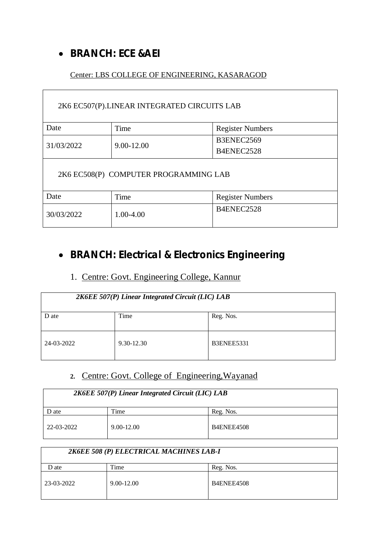# **BRANCH: ECE &AEI**

# Center: LBS COLLEGE OF ENGINEERING, KASARAGOD

| 2K6 EC507(P).LINEAR INTEGRATED CIRCUITS LAB |            |                         |  |
|---------------------------------------------|------------|-------------------------|--|
| Date                                        | Time       | <b>Register Numbers</b> |  |
| 31/03/2022                                  | 9.00-12.00 | B3ENEC2569              |  |
|                                             |            | B4ENEC2528              |  |
| 2K6 EC508(P) COMPUTER PROGRAMMING LAB       |            |                         |  |
| Date                                        | Time       | <b>Register Numbers</b> |  |
| 30/03/2022                                  | 1.00-4.00  | B4ENEC2528              |  |

# **BRANCH: Electrical & Electronics Engineering**

# 1. Centre: Govt. Engineering College, Kannur

| 2K6EE 507(P) Linear Integrated Circuit (LIC) LAB |            |                   |
|--------------------------------------------------|------------|-------------------|
| D ate                                            | Time       | Reg. Nos.         |
| 24-03-2022                                       | 9.30-12.30 | <b>B3ENEE5331</b> |

# **2.** Centre: Govt. College of Engineering,Wayanad

| 2K6EE 507(P) Linear Integrated Circuit (LIC) LAB |            |                   |
|--------------------------------------------------|------------|-------------------|
| D ate                                            | l'ime      | Reg. Nos.         |
| 22-03-2022                                       | 9.00-12.00 | <b>B4ENEE4508</b> |

| 2K6EE 508 (P) ELECTRICAL MACHINES LAB-I |                |                   |
|-----------------------------------------|----------------|-------------------|
| D ate                                   | Time           | Reg. Nos.         |
| 23-03-2022                              | $9.00 - 12.00$ | <b>B4ENEE4508</b> |